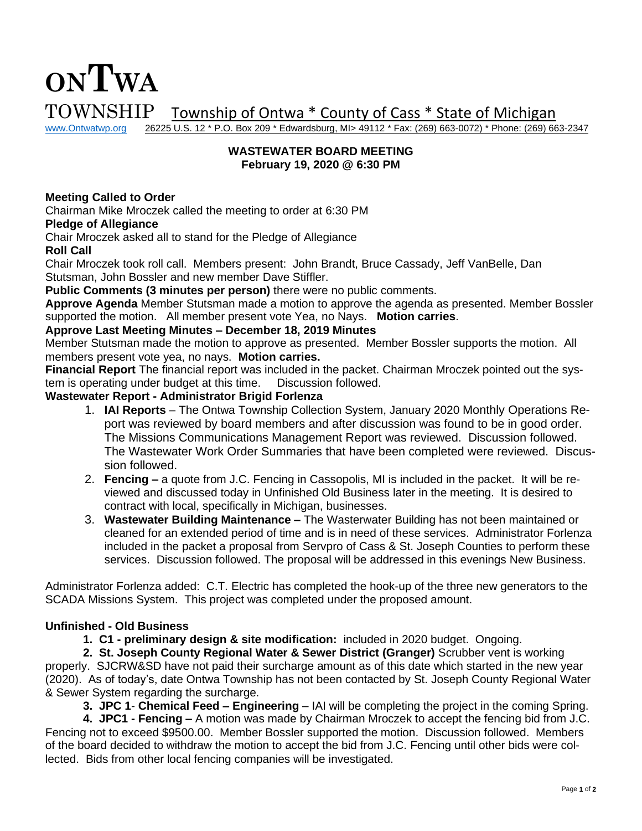# **ONTWA**  $\text{TOWNSHIP}$  Township of Ontwa \* County of Cass \* State of Michigan www.Ontwatwp.org 26225 U.S. 12 \* P.O. Box 209 \* Edwardsburg, MI> 49112 \* Fax: (269) 663-0072) \* Phone: (269) 66

26225 U.S. 12 \* P.O. Box 209 \* Edwardsburg, MI> 49112 \* Fax: (269) 663-0072) \* Phone: (269) 663-2347

### **WASTEWATER BOARD MEETING February 19, 2020 @ 6:30 PM**

## **Meeting Called to Order**

Chairman Mike Mroczek called the meeting to order at 6:30 PM

#### **Pledge of Allegiance**

Chair Mroczek asked all to stand for the Pledge of Allegiance

**Roll Call**

Chair Mroczek took roll call. Members present: John Brandt, Bruce Cassady, Jeff VanBelle, Dan Stutsman, John Bossler and new member Dave Stiffler.

**Public Comments (3 minutes per person)** there were no public comments.

**Approve Agenda** Member Stutsman made a motion to approve the agenda as presented. Member Bossler supported the motion. All member present vote Yea, no Nays. **Motion carries**.

#### **Approve Last Meeting Minutes – December 18, 2019 Minutes**

Member Stutsman made the motion to approve as presented. Member Bossler supports the motion. All members present vote yea, no nays. **Motion carries.** 

**Financial Report** The financial report was included in the packet. Chairman Mroczek pointed out the system is operating under budget at this time. Discussion followed.

## **Wastewater Report - Administrator Brigid Forlenza**

- 1. **IAI Reports** The Ontwa Township Collection System, January 2020 Monthly Operations Report was reviewed by board members and after discussion was found to be in good order. The Missions Communications Management Report was reviewed. Discussion followed. The Wastewater Work Order Summaries that have been completed were reviewed. Discussion followed.
- 2. **Fencing –** a quote from J.C. Fencing in Cassopolis, MI is included in the packet. It will be reviewed and discussed today in Unfinished Old Business later in the meeting. It is desired to contract with local, specifically in Michigan, businesses.
- 3. **Wastewater Building Maintenance –** The Wasterwater Building has not been maintained or cleaned for an extended period of time and is in need of these services. Administrator Forlenza included in the packet a proposal from Servpro of Cass & St. Joseph Counties to perform these services. Discussion followed. The proposal will be addressed in this evenings New Business.

Administrator Forlenza added: C.T. Electric has completed the hook-up of the three new generators to the SCADA Missions System. This project was completed under the proposed amount.

#### **Unfinished - Old Business**

**1. C1 - preliminary design & site modification:** included in 2020 budget. Ongoing.

**2. St. Joseph County Regional Water & Sewer District (Granger)** Scrubber vent is working properly. SJCRW&SD have not paid their surcharge amount as of this date which started in the new year (2020). As of today's, date Ontwa Township has not been contacted by St. Joseph County Regional Water & Sewer System regarding the surcharge.

**3. JPC 1**- **Chemical Feed – Engineering** – IAI will be completing the project in the coming Spring.

**4. JPC1 - Fencing –** A motion was made by Chairman Mroczek to accept the fencing bid from J.C. Fencing not to exceed \$9500.00. Member Bossler supported the motion. Discussion followed. Members of the board decided to withdraw the motion to accept the bid from J.C. Fencing until other bids were collected. Bids from other local fencing companies will be investigated.